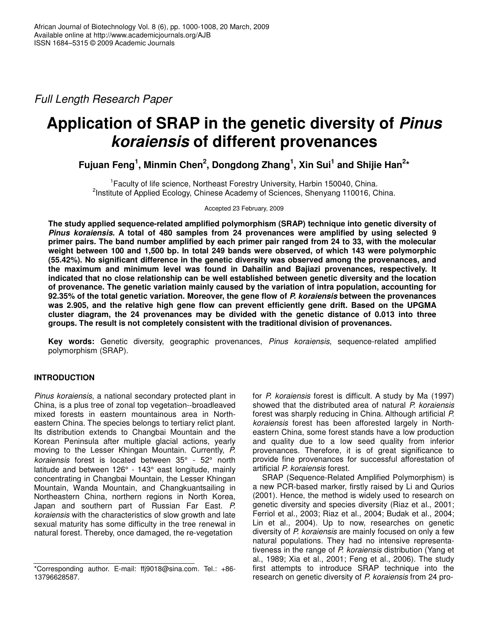*Full Length Research Paper*

# **Application of SRAP in the genetic diversity of** *Pinus koraiensis* **of different provenances**

**Fujuan Feng 1 , Minmin Chen 2 , Dongdong Zhang 1 , Xin Sui 1 and Shijie Han 2 \***

<sup>1</sup> Faculty of life science, Northeast Forestry University, Harbin 150040, China. <sup>2</sup>Institute of Applied Ecology, Chinese Academy of Sciences, Shenyang 110016, China.

Accepted 23 February, 2009

**The study applied sequence-related amplified polymorphism (SRAP) technique into genetic diversity of** *Pinus koraiensis.* **A total of 480 samples from 24 provenances were amplified by using selected 9** primer pairs. The band number amplified by each primer pair ranged from 24 to 33, with the molecular **weight between 100 and 1,500 bp. In total 249 bands were observed, of which 143 were polymorphic (55.42%). No significant difference in the genetic diversity was observed among the provenances, and the maximum and minimum level was found in Dahailin and Bajiazi provenances, respectively. It indicated that no close relationship can be well established between genetic diversity and the location of provenance. The genetic variation mainly caused by the variation of intra population, accounting for 92.35% of the total genetic variation. Moreover, the gene flow of** *P. koraiensis* **between the provenances was 2.905, and the relative high gene flow can prevent efficiently gene drift. Based on the UPGMA cluster diagram, the 24 provenances may be divided with the genetic distance of 0.013 into three groups. The result is not completely consistent with the traditional division of provenances.**

**Key words:** Genetic diversity, geographic provenances, *Pinus koraiensis*, sequence-related amplified polymorphism (SRAP).

# **INTRODUCTION**

*Pinus koraiensis*, a national secondary protected plant in China, is a plus tree of zonal top vegetation--broadleaved mixed forests in eastern mountainous area in Northeastern China. The species belongs to tertiary relict plant. Its distribution extends to Changbai Mountain and the Korean Peninsula after multiple glacial actions, yearly moving to the Lesser Khingan Mountain. Currently, *P. koraiensis* forest is located between 35° - 52° north latitude and between 126° - 143° east longitude, mainly concentrating in Changbai Mountain, the Lesser Khingan Mountain, Wanda Mountain, and Changkuantsailing in Northeastern China, northern regions in North Korea, Japan and southern part of Russian Far East. *P. koraiensis* with the characteristics of slow growth and late sexual maturity has some difficulty in the tree renewal in natural forest. Thereby, once damaged, the re-vegetation

for *P. koraiensis* forest is difficult. A study by Ma (1997) showed that the distributed area of natural *P. koraiensis* forest was sharply reducing in China. Although artificial *P. koraiensis* forest has been afforested largely in Northeastern China, some forest stands have a low production and quality due to a low seed quality from inferior provenances. Therefore, it is of great significance to provide fine provenances for successful afforestation of artificial *P. koraiensis* forest.

SRAP (Sequence-Related Amplified Polymorphism) is a new PCR-based marker, firstly raised by Li and Qurios (2001). Hence, the method is widely used to research on genetic diversity and species diversity (Riaz et al., 2001; Ferriol et al., 2003; Riaz et al., 2004; Budak et al., 2004; Lin et al., 2004). Up to now, researches on genetic diversity of *P. koraiensis* are mainly focused on only a few natural populations. They had no intensive representativeness in the range of *P. koraiensis* distribution (Yang et al., 1989; Xia et al., 2001; Feng et al., 2006). The study first attempts to introduce SRAP technique into the research on genetic diversity of *P. koraiensis* from 24 pro-

<sup>\*</sup>Corresponding author. E-mail: ffj9018@sina.com. Tel.: +86- 13796628587.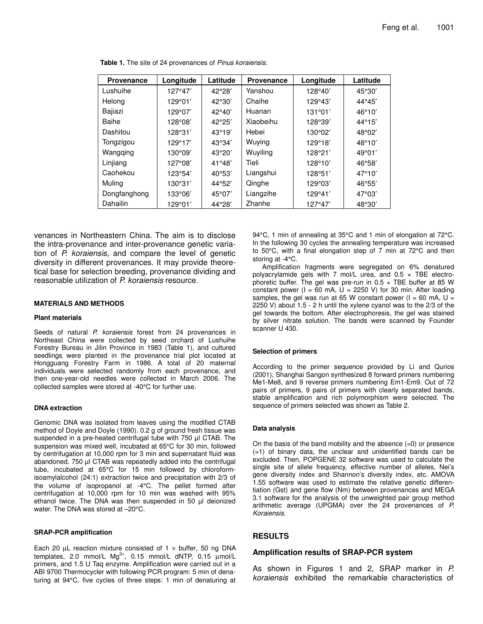| <b>Provenance</b> | Longitude | Latitude | <b>Provenance</b> | Longitude | Latitude        |
|-------------------|-----------|----------|-------------------|-----------|-----------------|
| Lushuihe          | 127°47'   | 42°28'   | Yanshou           | 128°40'   | 45°30′          |
| Helong            | 129°01'   | 42°30′   | Chaihe            | 129°43'   | 44°45'          |
| Bajiazi           | 129°07'   | 42°40'   | Huanan            | 131°01'   | 46°10'          |
| Baihe             | 128°08'   | 42°25'   | Xiaobeihu         | 128°39'   | $44^{\circ}15'$ |
| Dashitou          | 128°31'   | 43°19'   | Hebei             | 130°02'   | 48°02'          |
| Tongzigou         | 129°17'   | 43°34'   | Wuying            | 129°18'   | 48°10′          |
| Wangqing          | 130°09'   | 43°20'   | Wuyiling          | 128°21'   | 49°01'          |
| Linjiang          | 127°08'   | 41°48'   | Tieli             | 128°10'   | 46°58'          |
| Caohekou          | 123°54'   | 40°53'   | Liangshui         | 128°51'   | $47^{\circ}10'$ |
| Muling            | 130°31'   | 44°52′   | Qinghe            | 129°03'   | 46°55'          |
| Dongfanghong      | 133°06′   | 45°07'   | Liangzihe         | 129°41'   | $47^{\circ}03'$ |
| Dahailin          | 129°01'   | 44°28'   | Zhanhe            | 127°47'   | 48°30′          |

**Table 1.** The site of 24 provenances of *Pinus koraiensis*.

venances in Northeastern China. The aim is to disclose the intra-provenance and inter-provenance genetic variation of *P. koraiensis*, and compare the level of genetic diversity in different provenances. It may provide theoretical base for selection breeding, provenance dividing and reasonable utilization of *P. koraiensis* resource.

#### **MATERIALS AND METHODS**

#### **Plant materials**

Seeds of natural *P. koraiensis* forest from 24 provenances in Northeast China were collected by seed orchard of Lushuihe Forestry Bureau in Jilin Province in 1983 (Table 1), and cultured seedlings were planted in the provenance trial plot located at Hongguang Forestry Farm in 1986. A total of 20 maternal individuals were selected randomly from each provenance, and then one-year-old needles were collected in March 2006. The collected samples were stored at -40°C for further use.

#### **DNA extraction**

Genomic DNA was isolated from leaves using the modified CTAB method of Doyle and Doyle (1990). 0.2 g of ground fresh tissue was suspended in a pre-heated centrifugal tube with 750 µl CTAB. The suspension was mixed well, incubated at 65°C for 30 min, followed by centrifugation at 10,000 rpm for 3 min and supernatant fluid was abandoned. 750 µl CTAB was repeatedly added into the centrifugal tube, incubated at 65°C for 15 min followed by chloroformisoamylalcohol (24:1) extraction twice and precipitation with 2/3 of the volume of isopropanol at -4°C. The pellet formed after centrifugation at 10,000 rpm for 10 min was washed with 95% ethanol twice. The DNA was then suspended in 50 µl deionized water. The DNA was stored at –20°C.

#### **SRAP-PCR amplification**

Each 20  $\mu$ L reaction mixture consisted of 1  $\times$  buffer, 50 ng DNA templates, 2.0 mmol/L Mg<sup>2+</sup>, 0.15 mmol/L dNTP, 0.15 µmol/L primers, and 1.5 U Taq enzyme. Amplification were carried out in a ABI 9700 Thermocycler with following PCR program: 5 min of denaturing at 94°C, five cycles of three steps: 1 min of denaturing at 94°C, 1 min of annealing at 35°C and 1 min of elongation at 72°C. In the following 30 cycles the annealing temperature was increased to 50°C, with a final elongation step of 7 min at 72°C and then storing at -4°C.

Amplification fragments were segregated on 6% denatured polyacrylamide gels with 7 mol/L urea, and  $0.5 \times$  TBE electrophoretic buffer. The gel was pre-run in  $0.5 \times$  TBE buffer at 85 W constant power ( $I = 60$  mA,  $U = 2250$  V) for 30 min. After loading samples, the gel was run at 65 W constant power ( $I = 60$  mA,  $U =$ 2250 V) about 1.5 - 2 h until the xylene cyanol was to the 2/3 of the gel towards the bottom. After electrophoresis, the gel was stained by silver nitrate solution. The bands were scanned by Founder scanner U 430.

#### **Selection of primers**

According to the primer sequence provided by Li and Qurios (2001), Shanghai Sangon synthesized 8 forward primers numbering Me1-Me8, and 9 reverse primers numbering Em1-Em9. Out of 72 pairs of primers, 9 pairs of primers with clearly separated bands, stable amplification and rich polymorphism were selected. The sequence of primers selected was shown as Table 2.

#### **Data analysis**

On the basis of the band mobility and the absence  $(=0)$  or presence (=1) of binary data, the unclear and unidentified bands can be excluded. Then, POPGENE 32 software was used to calculate the single site of allele frequency, effective number of alleles, Nei's gene diversity index and Shannon's diversity index, etc. AMOVA 1.55 software was used to estimate the relative genetic differentiation (Gst) and gene flow (Nm) between provenances and MEGA 3.1 software for the analysis of the unweighted pair group method arithmetic average (UPGMA) over the 24 provenances of *P. Koraiensis*.

## **RESULTS**

## **Amplification results of SRAP-PCR system**

As shown in Figures 1 and 2, SRAP marker in *P. koraiensis* exhibited the remarkable characteristics of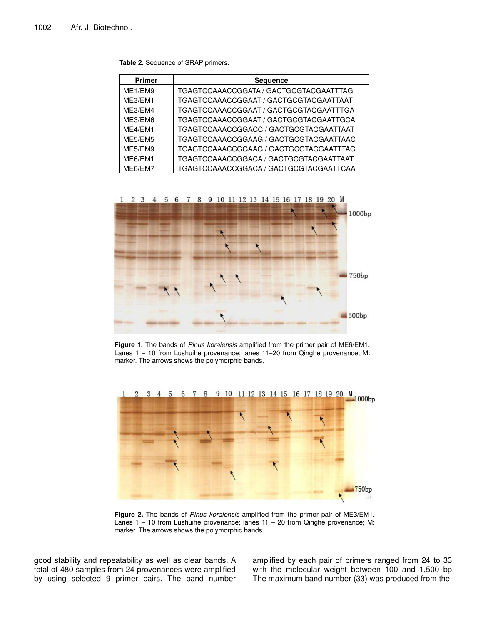|  | Table 2. Sequence of SRAP primers. |  |  |
|--|------------------------------------|--|--|
|--|------------------------------------|--|--|

| <b>Primer</b> | <b>Sequence</b>                        |
|---------------|----------------------------------------|
| ME1/EM9       | TGAGTCCAAACCGGATA / GACTGCGTACGAATTTAG |
| ME3/EM1       | TGAGTCCAAACCGGAAT / GACTGCGTACGAATTAAT |
| ME3/EM4       | TGAGTCCAAACCGGAAT / GACTGCGTACGAATTTGA |
| ME3/EM6       | TGAGTCCAAACCGGAAT / GACTGCGTACGAATTGCA |
| ME4/EM1       | TGAGTCCAAACCGGACC / GACTGCGTACGAATTAAT |
| ME5/EM5       | TGAGTCCAAACCGGAAG / GACTGCGTACGAATTAAC |
| ME5/EM9       | TGAGTCCAAACCGGAAG / GACTGCGTACGAATTTAG |
| ME6/EM1       | TGAGTCCAAACCGGACA / GACTGCGTACGAATTAAT |
| ME6/EM7       | TGAGTCCAAACCGGACA / GACTGCGTACGAATTCAA |



**Figure 1.** The bands of *Pinus koraiensis* amplified from the primer pair of ME6/EM1. Lanes 1 − 10 from Lushuihe provenance; lanes 11−20 from Qinghe provenance; M: marker. The arrows shows the polymorphic bands.



**Figure 2.** The bands of *Pinus koraiensis* amplified from the primer pair of ME3/EM1. Lanes 1 - 10 from Lushuihe provenance; lanes 11 - 20 from Qinghe provenance; M: marker. The arrows shows the polymorphic bands.

good stability and repeatability as well as clear bands. A total of 480 samples from 24 provenances were amplified by using selected 9 primer pairs. The band number amplified by each pair of primers ranged from 24 to 33, with the molecular weight between 100 and 1,500 bp. The maximum band number (33) was produced from the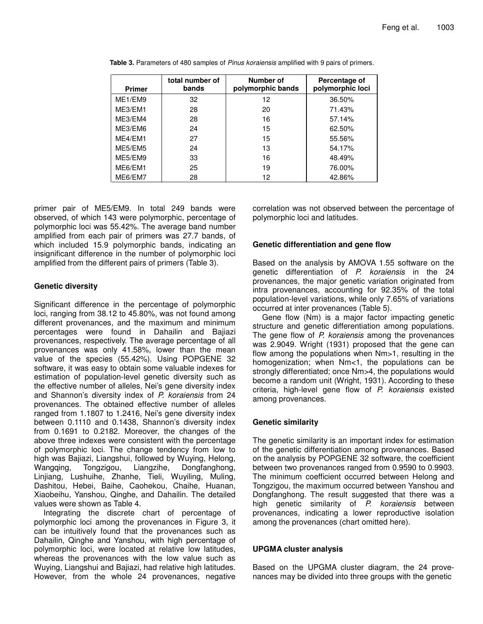| <b>Primer</b> | total number of<br>bands | Number of<br>polymorphic bands | Percentage of<br>polymorphic loci |
|---------------|--------------------------|--------------------------------|-----------------------------------|
| ME1/EM9       | 32                       | 12                             | 36.50%                            |
| ME3/EM1       | 28                       | 20                             | 71.43%                            |
| ME3/EM4       | 28                       | 16                             | 57.14%                            |
| ME3/EM6       | 24                       | 15                             | 62.50%                            |
| ME4/EM1       | 27                       | 15                             | 55.56%                            |
| ME5/EM5       | 24                       | 13                             | 54.17%                            |
| ME5/EM9       | 33                       | 16                             | 48.49%                            |
| ME6/EM1       | 25                       | 19                             | 76.00%                            |
| ME6/EM7       | 28                       | 12                             | 42.86%                            |

**Table 3.** Parameters of 480 samples of *Pinus koraiensis* amplified with 9 pairs of primers.

primer pair of ME5/EM9. In total 249 bands were observed, of which 143 were polymorphic, percentage of polymorphic loci was 55.42%. The average band number amplified from each pair of primers was 27.7 bands, of which included 15.9 polymorphic bands, indicating an insignificant difference in the number of polymorphic loci amplified from the different pairs of primers (Table 3).

# **Genetic diversity**

Significant difference in the percentage of polymorphic loci, ranging from 38.12 to 45.80%, was not found among different provenances, and the maximum and minimum percentages were found in Dahailin and Bajiazi provenances, respectively. The average percentage of all provenances was only 41.58%, lower than the mean value of the species (55.42%). Using POPGENE 32 software, it was easy to obtain some valuable indexes for estimation of population-level genetic diversity such as the effective number of alleles, Nei's gene diversity index and Shannon's diversity index of *P. koraiensis* from 24 provenances. The obtained effective number of alleles ranged from 1.1807 to 1.2416, Nei's gene diversity index between 0.1110 and 0.1438, Shannon's diversity index from 0.1691 to 0.2182. Moreover, the changes of the above three indexes were consistent with the percentage of polymorphic loci. The change tendency from low to high was Bajiazi, Liangshui, followed by Wuying, Helong, Wangqing, Tongzigou, Liangzihe, Dongfanghong, Linjiang, Lushuihe, Zhanhe, Tieli, Wuyiling, Muling, Dashitou, Hebei, Baihe, Caohekou, Chaihe, Huanan, Xiaobeihu, Yanshou, Qinghe, and Dahailin. The detailed values were shown as Table 4.

Integrating the discrete chart of percentage of polymorphic loci among the provenances in Figure 3, it can be intuitively found that the provenances such as Dahailin, Qinghe and Yanshou, with high percentage of polymorphic loci, were located at relative low latitudes, whereas the provenances with the low value such as Wuying, Liangshui and Bajiazi, had relative high latitudes. However, from the whole 24 provenances, negative

correlation was not observed between the percentage of polymorphic loci and latitudes.

# **Genetic differentiation and gene flow**

Based on the analysis by AMOVA 1.55 software on the genetic differentiation of *P. koraiensis* in the 24 provenances, the major genetic variation originated from intra provenances, accounting for 92.35% of the total population-level variations, while only 7.65% of variations occurred at inter provenances (Table 5).

Gene flow (Nm) is a major factor impacting genetic structure and genetic differentiation among populations. The gene flow of *P. koraiensis* among the provenances was 2.9049. Wright (1931) proposed that the gene can flow among the populations when Nm>1, resulting in the homogenization; when Nm<1, the populations can be strongly differentiated; once Nm>4, the populations would become a random unit (Wright, 1931). According to these criteria, high-level gene flow of *P. koraiensis* existed among provenances.

## **Genetic similarity**

The genetic similarity is an important index for estimation of the genetic differentiation among provenances. Based on the analysis by POPGENE 32 software, the coefficient between two provenances ranged from 0.9590 to 0.9903. The minimum coefficient occurred between Helong and Tongzigou, the maximum occurred between Yanshou and Dongfanghong. The result suggested that there was a high genetic similarity of *P. koraiensis* between provenances, indicating a lower reproductive isolation among the provenances (chart omitted here).

## **UPGMA cluster analysis**

Based on the UPGMA cluster diagram, the 24 provenances may be divided into three groups with the genetic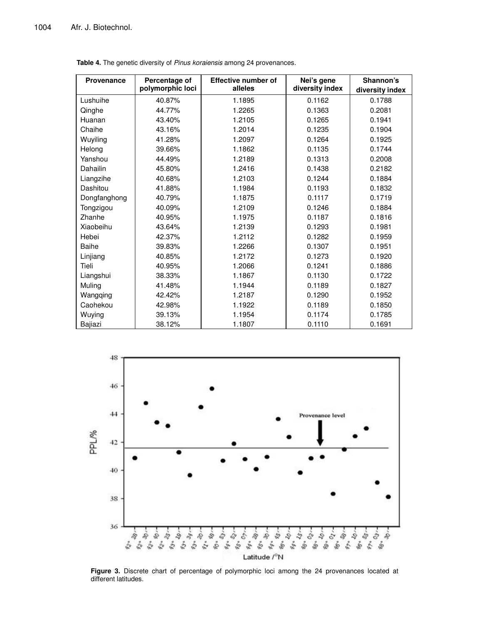| <b>Provenance</b> | Percentage of    | <b>Effective number of</b><br>alleles | Nei's gene<br>diversity index | Shannon's       |  |
|-------------------|------------------|---------------------------------------|-------------------------------|-----------------|--|
|                   | polymorphic loci |                                       |                               | diversity index |  |
| Lushuihe          | 40.87%           | 1.1895                                | 0.1162                        | 0.1788          |  |
| Qinghe            | 44.77%           | 1.2265                                | 0.1363                        | 0.2081          |  |
| Huanan            | 43.40%           | 1.2105                                | 0.1265                        | 0.1941          |  |
| Chaihe            | 43.16%           | 1.2014                                | 0.1235                        | 0.1904          |  |
| Wuyiling          | 41.28%           | 1.2097                                | 0.1264                        | 0.1925          |  |
| Helong            | 39.66%           | 1.1862                                | 0.1135                        | 0.1744          |  |
| Yanshou           | 44.49%           | 1.2189                                | 0.1313                        | 0.2008          |  |
| Dahailin          | 45.80%           | 1.2416                                | 0.1438                        | 0.2182          |  |
| Liangzihe         | 40.68%           | 1.2103                                | 0.1244                        | 0.1884          |  |
| Dashitou          | 41.88%           | 1.1984                                | 0.1193                        | 0.1832          |  |
| Dongfanghong      | 40.79%           | 1.1875                                | 0.1117                        | 0.1719          |  |
| Tongzigou         | 40.09%           | 1.2109                                | 0.1246                        | 0.1884          |  |
| Zhanhe            | 40.95%           | 1.1975                                | 0.1187                        | 0.1816          |  |
| Xiaobeihu         | 43.64%           | 1.2139                                | 0.1293                        | 0.1981          |  |
| Hebei             | 42.37%           | 1.2112                                | 0.1282                        | 0.1959          |  |
| <b>Baihe</b>      | 39.83%           | 1.2266                                | 0.1307                        | 0.1951          |  |
| Linjiang          | 40.85%           | 1.2172                                | 0.1273                        | 0.1920          |  |
| Tieli             | 40.95%           | 1.2066                                | 0.1241                        | 0.1886          |  |
| Liangshui         | 38.33%           | 1.1867                                | 0.1130                        | 0.1722          |  |
| Muling            | 41.48%           | 1.1944                                | 0.1189                        | 0.1827          |  |
| Wangqing          | 42.42%           | 1.2187                                | 0.1290                        | 0.1952          |  |
| Caohekou          | 42.98%           | 1.1922                                | 0.1189                        | 0.1850          |  |
| Wuying            | 39.13%           | 1.1954                                | 0.1174                        | 0.1785          |  |
| Bajiazi           | 38.12%           | 1.1807                                | 0.1110                        | 0.1691          |  |

**Table 4.** The genetic diversity of *Pinus koraiensis* among 24 provenances.



**Figure 3.** Discrete chart of percentage of polymorphic loci among the 24 provenances located at different latitudes.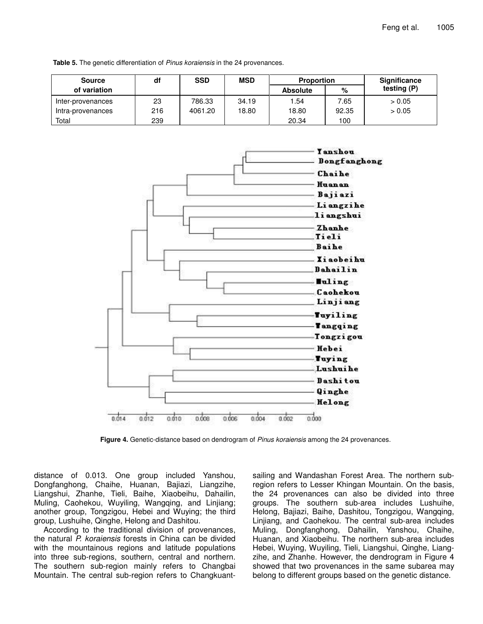| <b>Source</b>     | df  | <b>SSD</b> | <b>MSD</b> | <b>Proportion</b> |       | Significance |
|-------------------|-----|------------|------------|-------------------|-------|--------------|
| of variation      |     |            |            | <b>Absolute</b>   | $\%$  | testing (P)  |
| Inter-provenances | 23  | 786.33     | 34.19      | 54.ا              | 7.65  | > 0.05       |
| Intra-provenances | 216 | 4061.20    | 18.80      | 18.80             | 92.35 | > 0.05       |
| Total             | 239 |            |            | 20.34             | 100   |              |

**Table 5.** The genetic differentiation of *Pinus koraiensis* in the 24 provenances.



**Figure 4.** Genetic-distance based on dendrogram of *Pinus koraiensis* among the 24 provenances.

distance of 0.013. One group included Yanshou, Dongfanghong, Chaihe, Huanan, Bajiazi, Liangzihe, Liangshui, Zhanhe, Tieli, Baihe, Xiaobeihu, Dahailin, Muling, Caohekou, Wuyiling, Wangqing, and Linjiang; another group, Tongzigou, Hebei and Wuying; the third group, Lushuihe, Qinghe, Helong and Dashitou.

According to the traditional division of provenances, the natural *P. koraiensis* forests in China can be divided with the mountainous regions and latitude populations into three sub-regions, southern, central and northern. The southern sub-region mainly refers to Changbai Mountain. The central sub-region refers to Changkuant-

sailing and Wandashan Forest Area. The northern subregion refers to Lesser Khingan Mountain. On the basis, the 24 provenances can also be divided into three groups. The southern sub-area includes Lushuihe, Helong, Bajiazi, Baihe, Dashitou, Tongzigou, Wangqing, Linjiang, and Caohekou. The central sub-area includes Muling, Dongfanghong, Dahailin, Yanshou, Chaihe, Huanan, and Xiaobeihu. The northern sub-area includes Hebei, Wuying, Wuyiling, Tieli, Liangshui, Qinghe, Liangzihe, and Zhanhe. However, the dendrogram in Figure 4 showed that two provenances in the same subarea may belong to different groups based on the genetic distance.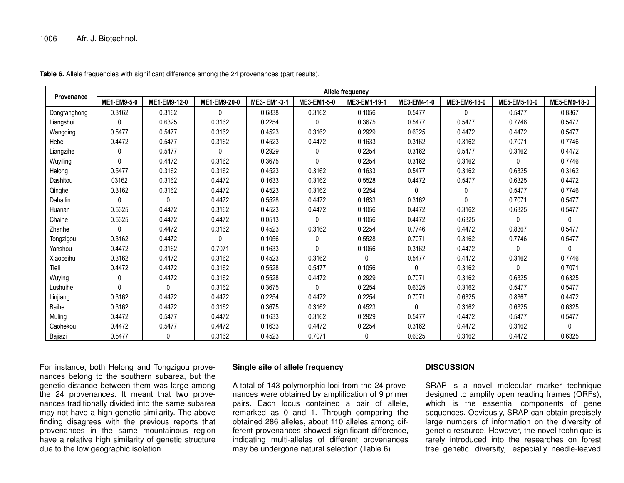|              | Allele frequency |              |              |              |              |              |             |              |              |              |
|--------------|------------------|--------------|--------------|--------------|--------------|--------------|-------------|--------------|--------------|--------------|
| Provenance   | ME1-EM9-5-0      | ME1-EM9-12-0 | ME1-EM9-20-0 | ME3- EM1-3-1 | ME3-EM1-5-0  | ME3-EM1-19-1 | ME3-EM4-1-0 | ME3-EM6-18-0 | ME5-EM5-10-0 | ME5-EM9-18-0 |
| Dongfanghong | 0.3162           | 0.3162       | 0            | 0.6838       | 0.3162       | 0.1056       | 0.5477      | $\mathbf{0}$ | 0.5477       | 0.8367       |
| Liangshui    | $\mathbf{0}$     | 0.6325       | 0.3162       | 0.2254       | $\Omega$     | 0.3675       | 0.5477      | 0.5477       | 0.7746       | 0.5477       |
| Wangqing     | 0.5477           | 0.5477       | 0.3162       | 0.4523       | 0.3162       | 0.2929       | 0.6325      | 0.4472       | 0.4472       | 0.5477       |
| Hebei        | 0.4472           | 0.5477       | 0.3162       | 0.4523       | 0.4472       | 0.1633       | 0.3162      | 0.3162       | 0.7071       | 0.7746       |
| Liangzihe    | 0                | 0.5477       | 0            | 0.2929       | 0            | 0.2254       | 0.3162      | 0.5477       | 0.3162       | 0.4472       |
| Wuyiling     | $\Omega$         | 0.4472       | 0.3162       | 0.3675       | $\Omega$     | 0.2254       | 0.3162      | 0.3162       | $\mathbf{0}$ | 0.7746       |
| Helong       | 0.5477           | 0.3162       | 0.3162       | 0.4523       | 0.3162       | 0.1633       | 0.5477      | 0.3162       | 0.6325       | 0.3162       |
| Dashitou     | 03162            | 0.3162       | 0.4472       | 0.1633       | 0.3162       | 0.5528       | 0.4472      | 0.5477       | 0.6325       | 0.4472       |
| Qinghe       | 0.3162           | 0.3162       | 0.4472       | 0.4523       | 0.3162       | 0.2254       | 0           | 0            | 0.5477       | 0.7746       |
| Dahailin     | 0                | $\mathbf{0}$ | 0.4472       | 0.5528       | 0.4472       | 0.1633       | 0.3162      | 0            | 0.7071       | 0.5477       |
| Huanan       | 0.6325           | 0.4472       | 0.3162       | 0.4523       | 0.4472       | 0.1056       | 0.4472      | 0.3162       | 0.6325       | 0.5477       |
| Chaihe       | 0.6325           | 0.4472       | 0.4472       | 0.0513       | 0            | 0.1056       | 0.4472      | 0.6325       | $\mathbf{0}$ | $\mathbf{0}$ |
| Zhanhe       | $\mathbf{0}$     | 0.4472       | 0.3162       | 0.4523       | 0.3162       | 0.2254       | 0.7746      | 0.4472       | 0.8367       | 0.5477       |
| Tongzigou    | 0.3162           | 0.4472       | 0            | 0.1056       | $\mathbf{0}$ | 0.5528       | 0.7071      | 0.3162       | 0.7746       | 0.5477       |
| Yanshou      | 0.4472           | 0.3162       | 0.7071       | 0.1633       | $\mathbf{0}$ | 0.1056       | 0.3162      | 0.4472       | $\mathbf{0}$ | $\mathbf{0}$ |
| Xiaobeihu    | 0.3162           | 0.4472       | 0.3162       | 0.4523       | 0.3162       | $\Omega$     | 0.5477      | 0.4472       | 0.3162       | 0.7746       |
| Tieli        | 0.4472           | 0.4472       | 0.3162       | 0.5528       | 0.5477       | 0.1056       | 0           | 0.3162       | $\mathbf{0}$ | 0.7071       |
| Wuying       | 0                | 0.4472       | 0.3162       | 0.5528       | 0.4472       | 0.2929       | 0.7071      | 0.3162       | 0.6325       | 0.6325       |
| Lushuihe     | $\Omega$         | $\Omega$     | 0.3162       | 0.3675       | $\Omega$     | 0.2254       | 0.6325      | 0.3162       | 0.5477       | 0.5477       |
| Linjiang     | 0.3162           | 0.4472       | 0.4472       | 0.2254       | 0.4472       | 0.2254       | 0.7071      | 0.6325       | 0.8367       | 0.4472       |
| Baihe        | 0.3162           | 0.4472       | 0.3162       | 0.3675       | 0.3162       | 0.4523       | 0           | 0.3162       | 0.6325       | 0.6325       |
| Muling       | 0.4472           | 0.5477       | 0.4472       | 0.1633       | 0.3162       | 0.2929       | 0.5477      | 0.4472       | 0.5477       | 0.5477       |
| Caohekou     | 0.4472           | 0.5477       | 0.4472       | 0.1633       | 0.4472       | 0.2254       | 0.3162      | 0.4472       | 0.3162       | $\mathbf{0}$ |
| Bajiazi      | 0.5477           | $\mathbf{0}$ | 0.3162       | 0.4523       | 0.7071       | $\mathbf{0}$ | 0.6325      | 0.3162       | 0.4472       | 0.6325       |

**Table 6.** Allele frequencies with significant difference among the 24 provenances (part results).

For instance, both Helong and Tongzigou provenances belong to the southern subarea, but the genetic distance between them was large among the 24 provenances. It meant that two provenances traditionally divided into the same subarea may not have <sup>a</sup> high genetic similarity. The above finding disagrees with the previous reports that provenances in the same mountainous region have <sup>a</sup> relative high similarity of genetic structure due to the low geographic isolation.

## **Single site of allele frequency**

A total of 143 polymorphic loci from the 24 provenances were obtained by amplification of 9 primer pairs. Each locus contained <sup>a</sup> pair of allele, remarked as 0 and 1. Through comparing the obtained 286 alleles, about 110 alleles among different provenances showed significant difference, indicating multi-alleles of different provenances may be undergone natural selection (Table 6).

## **DISCUSSION**

SRAP is <sup>a</sup> novel molecular marker technique designed to amplify open reading frames (ORFs), which is the essential components of gene sequences. Obviously, SRAP can obtain precisely large numbers of information on the diversity of genetic resource. However, the novel technique is rarely introduced into the researches on forest tree genetic diversity, especially needle-leaved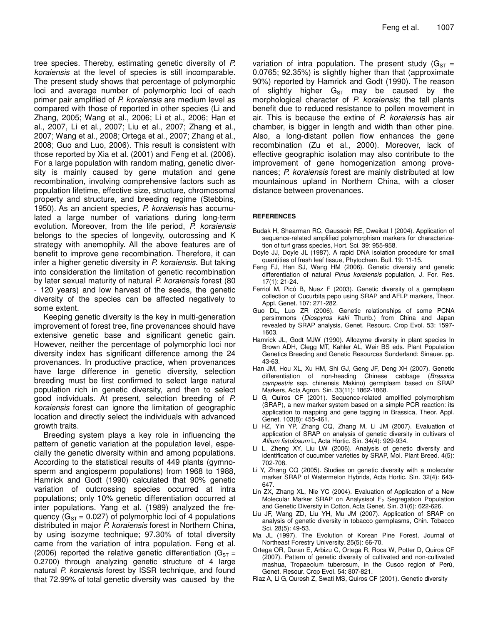tree species. Thereby, estimating genetic diversity of *P. koraiensis* at the level of species is still incomparable. The present study shows that percentage of polymorphic loci and average number of polymorphic loci of each primer pair amplified of *P. koraiensis* are medium level as compared with those of reported in other species (Li and Zhang, 2005; Wang et al., 2006; Li et al., 2006; Han et al., 2007, Li et al., 2007; Liu et al., 2007; Zhang et al., 2007; Wang et al., 2008; Ortega et al., 2007; Zhang et al., 2008; Guo and Luo, 2006). This result is consistent with those reported by Xia et al. (2001) and Feng et al. (2006). For a large population with random mating, genetic diversity is mainly caused by gene mutation and gene recombination, involving comprehensive factors such as population lifetime, effective size, structure, chromosomal property and structure, and breeding regime (Stebbins, 1950). As an ancient species, *P. koraiensis* has accumulated a large number of variations during long-term evolution. Moreover, from the life period, *P. koraiensis* belongs to the species of longevity, outcrossing and K strategy with anemophily. All the above features are of benefit to improve gene recombination. Therefore, it can infer a higher genetic diversity in *P. koraiensis*. But taking into consideration the limitation of genetic recombination by later sexual maturity of natural *P. koraiensis* forest (80 - 120 years) and low harvest of the seeds, the genetic diversity of the species can be affected negatively to some extent.

Keeping genetic diversity is the key in multi-generation improvement of forest tree, fine provenances should have extensive genetic base and significant genetic gain. However, neither the percentage of polymorphic loci nor diversity index has significant difference among the 24 provenances. In productive practice, when provenances have large difference in genetic diversity, selection breeding must be first confirmed to select large natural population rich in genetic diversity, and then to select good individuals. At present, selection breeding of *P. koraiensis* forest can ignore the limitation of geographic location and directly select the individuals with advanced growth traits.

Breeding system plays a key role in influencing the pattern of genetic variation at the population level, especially the genetic diversity within and among populations. According to the statistical results of 449 plants (gymnosperm and angiosperm populations) from 1968 to 1988, Hamrick and Godt (1990) calculated that 90% genetic variation of outcrossing species occurred at intra populations; only 10% genetic differentiation occurred at inter populations. Yang et al. (1989) analyzed the frequency ( $G_{ST}$  = 0.027) of polymorphic loci of 4 populations distributed in major *P. koraiensis* forest in Northern China, by using isozyme technique; 97.30% of total diversity came from the variation of intra population. Feng et al. (2006) reported the relative genetic differentiation ( $G_{ST}$  = 0.2700) through analyzing genetic structure of 4 large natural *P. koraiensis* forest by ISSR technique, and found that 72.99% of total genetic diversity was caused by the

variation of intra population. The present study ( $G_{ST}$  = 0.0765; 92.35%) is slightly higher than that (approximate 90%) reported by Hamrick and Godt (1990). The reason of slightly higher  $G_{ST}$  may be caused by the morphological character of *P. koraiensis*; the tall plants benefit due to reduced resistance to pollen movement in air. This is because the extine of *P. koraiensis* has air chamber, is bigger in length and width than other pine. Also, a long-distant pollen flow enhances the gene recombination (Zu et al., 2000). Moreover, lack of effective geographic isolation may also contribute to the improvement of gene homogenization among provenances; *P. koraiensis* forest are mainly distributed at low mountainous upland in Northern China, with a closer distance between provenances.

## **REFERENCES**

- Budak H, Shearman RC, Gaussoin RE, Dweikat I (2004). Application of sequence-related amplified polymorphism markers for characterization of turf grass species, Hort. Sci. 39: 955-958.
- Doyle JJ, Doyle JL (1987). A rapid DNA isolation procedure for small quantities of fresh leaf tissue, Phytochem. Bull. 19: 11-15.
- Feng FJ, Han SJ, Wang HM (2006). Genetic diversity and genetic differentiation of natural *Pinus koraiensis* population, J. For. Res. 17(1): 21-24.
- Ferriol M, Picó B, Nuez F (2003). Genetic diversity of a germplasm collection of Cucurbita pepo using SRAP and AFLP markers, Theor. Appl. Genet. 107: 271-282.
- Guo DL, Luo ZR (2006). Genetic relationships of some PCNA persimmons (*Diospyros kaki* Thunb.) from China and Japan revealed by SRAP analysis, Genet. Resourc. Crop Evol. 53: 1597- 1603.
- Hamrick JL, Godt MJW (1990). Allozyme diversity in plant species In Brown ADH, Clegg MT, Kahler AL, Weir BS eds. Plant Population Genetics Breeding and Genetic Resources Sunderland: Sinauer. pp. 43-63.
- Han JM, Hou XL, Xu HM, Shi GJ, Geng JF, Deng XH (2007). Genetic differentiation of non-heading Chinese cabbage (*Brassica campestris* ssp. chinensis Makino) germplasm based on SRAP Markers, Acta Agron. Sin. 33(11): 1862-1868.
- Li G, Quiros CF (2001). Sequence-related amplified polymorphism (SRAP), a new marker system based on a simple PCR reaction: its application to mapping and gene tagging in Brassica, Theor. Appl. Genet. 103(8): 455-461.
- Li HZ, Yin YP, Zhang CQ, Zhang M, Li JM (2007). Evaluation of application of SRAP on analysis of genetic diversity in cultivars of *Allium fistulosum* L, Acta Hortic. Sin. 34(4): 929-934.
- Li L, Zheng XY, Liu LW (2006). Analysis of genetic diversity and identification of cucumber varieties by SRAP, Mol. Plant Breed. 4(5): 702-708.
- Li Y, Zhang CQ (2005). Studies on genetic diversity with a molecular marker SRAP of Watermelon Hybrids, Acta Hortic. Sin. 32(4): 643- 647.
- Lin ZX, Zhang XL, Nie YC (2004). Evaluation of Application of a New Molecular Marker SRAP on Analysisof F<sub>2</sub> Segregation Population and Genetic Diversity in Cotton, Acta Genet. Sin. 31(6): 622-626.
- Liu JF, Wang ZD, Liu YH, Mu JM (2007). Application of SRAP on analysis of genetic diversity in tobacco germplasms, Chin. Tobacco Sci. 28(5): 49-53.
- Ma JL (1997). The Evolution of Korean Pine Forest, Journal of Northeast Forestry University. 25(5): 66-70.
- Ortega OR, Duran E, Arbizu C, Ortega R, Roca W, Potter D, Quiros CF (2007). Pattern of genetic diversity of cultivated and non-cultivated mashua, Tropaeolum tuberosum, in the Cusco region of Perú, Genet. Resour. Crop Evol. 54: 807-821.
- Riaz A, Li G, Quresh Z, Swati MS, Quiros CF (2001). Genetic diversity